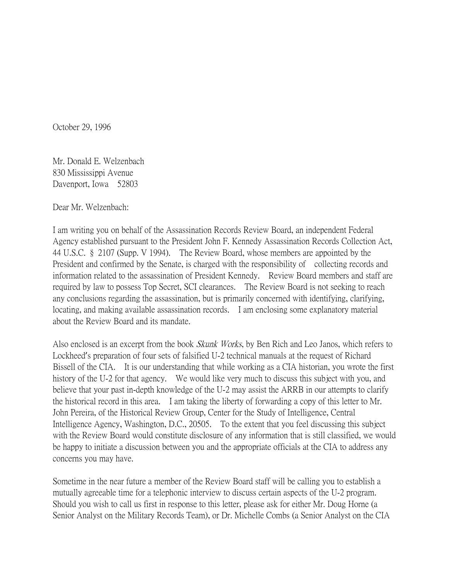October 29, 1996

Mr. Donald E. Welzenbach 830 Mississippi Avenue Davenport, Iowa 52803

Dear Mr. Welzenbach:

I am writing you on behalf of the Assassination Records Review Board, an independent Federal Agency established pursuant to the President John F. Kennedy Assassination Records Collection Act, 44 U.S.C. § 2107 (Supp. V 1994). The Review Board, whose members are appointed by the President and confirmed by the Senate, is charged with the responsibility of collecting records and information related to the assassination of President Kennedy. Review Board members and staff are required by law to possess Top Secret, SCI clearances. The Review Board is not seeking to reach any conclusions regarding the assassination, but is primarily concerned with identifying, clarifying, locating, and making available assassination records. I am enclosing some explanatory material about the Review Board and its mandate.

Also enclosed is an excerpt from the book *Skunk Works*, by Ben Rich and Leo Janos, which refers to Lockheed's preparation of four sets of falsified U-2 technical manuals at the request of Richard Bissell of the CIA. It is our understanding that while working as a CIA historian, you wrote the first history of the U-2 for that agency. We would like very much to discuss this subject with you, and believe that your past in-depth knowledge of the U-2 may assist the ARRB in our attempts to clarify the historical record in this area. I am taking the liberty of forwarding a copy of this letter to Mr. John Pereira, of the Historical Review Group, Center for the Study of Intelligence, Central Intelligence Agency, Washington, D.C., 20505. To the extent that you feel discussing this subject with the Review Board would constitute disclosure of any information that is still classified, we would be happy to initiate a discussion between you and the appropriate officials at the CIA to address any concerns you may have.

Sometime in the near future a member of the Review Board staff will be calling you to establish a mutually agreeable time for a telephonic interview to discuss certain aspects of the U-2 program. Should you wish to call us first in response to this letter, please ask for either Mr. Doug Horne (a Senior Analyst on the Military Records Team), or Dr. Michelle Combs (a Senior Analyst on the CIA